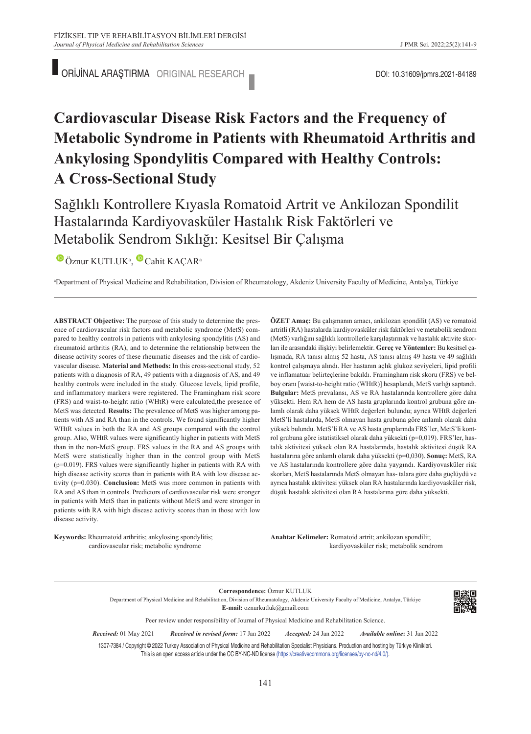ORİJİNAL ARAŞTIRMA ORIGINAL RESEARCH **DOLLA ARAŞTIRMA ORIGINAL RESEARCH** 

# **Cardiovascular Disease Risk Factors and the Frequency of Metabolic Syndrome in Patients with Rheumatoid Arthritis and Ankylosing Spondylitis Compared with Healthy Controls: A Cross-Sectional Study**

Sağlıklı Kontrollere Kıyasla Romatoid Artrit ve Ankilozan Spondilit Hastalarında Kardiyovasküler Hastalık Risk Faktörleri ve Metabolik Sendrom Sıklığı: Kesitsel Bir Çalışma

ÖznurKUTLUK<sup>a</sup>, Cahit KAÇAR<sup>a</sup>

a Department of Physical Medicine and Rehabilitation, Division of Rheumatology, Akdeniz University Faculty of Medicine, Antalya, Türkiye

**ABS TRACT Objective:** The purpose of this study to determine the presence of cardiovascular risk factors and metabolic syndrome (MetS) compared to healthy controls in patients with ankylosing spondylitis (AS) and rheumatoid arthritis (RA), and to determine the relationship between the disease activity scores of these rheumatic diseases and the risk of cardiovascular disease. **Material and Methods:** In this cross-sectional study, 52 patients with a diagnosis of RA, 49 patients with a diagnosis of AS, and 49 healthy controls were included in the study. Glucose levels, lipid profile, and inflammatory markers were registered. The Framingham risk score (FRS) and waist-to-height ratio (WHtR) were calculated,the presence of MetS was detected. **Results:** The prevalence of MetS was higher among patients with AS and RA than in the controls. We found significantly higher WHtR values in both the RA and AS groups compared with the control group. Also, WHtR values were significantly higher in patients with MetS than in the non-MetS group. FRS values in the RA and AS groups with MetS were statistically higher than in the control group with MetS (p=0.019). FRS values were significantly higher in patients with RA with high disease activity scores than in patients with RA with low disease activity (p=0.030). **Conclusion:** MetS was more common in patients with RA and AS than in controls. Predictors of cardiovascular risk were stronger in patients with MetS than in patients without MetS and were stronger in patients with RA with high disease activity scores than in those with low disease activity.

**ÖZET Amaç:** Bu çalışmanın amacı, ankilozan spondilit (AS) ve romatoid artritli (RA) hastalarda kardiyovasküler risk faktörleri ve metabolik sendrom (MetS) varlığını sağlıklı kontrollerle karşılaştırmak ve hastalık aktivite skorları ile arasındaki ilişkiyi belirlemektir. **Gereç ve Yöntemler:** Bu kesitsel çalışmada, RA tanısı almış 52 hasta, AS tanısı almış 49 hasta ve 49 sağlıklı kontrol çalışmaya alındı. Her hastanın açlık glukoz seviyeleri, lipid profili ve inflamatuar belirteçlerine bakıldı. Framingham risk skoru (FRS) ve belboy oranı [waist-to-height ratio (WHtR)] hesaplandı, MetS varlığı saptandı. **Bulgular:** MetS prevalansı, AS ve RA hastalarında kontrollere göre daha yüksekti. Hem RA hem de AS hasta gruplarında kontrol grubuna göre anlamlı olarak daha yüksek WHtR değerleri bulundu; ayrıca WHtR değerleri MetS'li hastalarda, MetS olmayan hasta grubuna göre anlamlı olarak daha yüksek bulundu. MetS'li RA ve AS hasta gruplarında FRS'ler, MetS'li kontrol grubuna göre istatistiksel olarak daha yüksekti (p=0,019). FRS'ler, hastalık aktivitesi yüksek olan RA hastalarında, hastalık aktivitesi düşük RA hastalarına göre anlamlı olarak daha yüksekti (p=0,030). **Sonuç:** MetS, RA ve AS hastalarında kontrollere göre daha yaygındı. Kardiyovasküler risk skorları, MetS hastalarında MetS olmayan has- talara göre daha güçlüydü ve ayrıca hastalık aktivitesi yüksek olan RA hastalarında kardiyovasküler risk, düşük hastalık aktivitesi olan RA hastalarına göre daha yüksekti.

**Keywords:** Rheumatoid arthritis; ankylosing spondylitis; cardiovascular risk; metabolic syndrome

Anahtar Kelimeler: Romatoid artrit; ankilozan spondilit; kardiyovasküler risk; metabolik sendrom

**Correspondence:** Öznur KUTLUK

Department of Physical Medicine and Rehabilitation, Division of Rheumatology, Akdeniz University Faculty of Medicine, Antalya, Türkiye **E-mail:** oznurkutluk@gmail.com



Peer review under responsibility of Journal of Physical Medicine and Rehabilitation Science.

*Re ce i ved:* 01 May 2021 *Received in revised form:* 17 Jan 2022 *Ac cep ted:* 24 Jan 2022 *Available online***:** 31 Jan 2022

1307-7384 / Copyright © 2022 Turkey Association of Physical Medicine and Rehabilitation Specialist Physicians. Production and hosting by Türkiye Klinikleri. This is an open access article under the CC BY-NC-ND license [\(https://creativecommons.org/licenses/by-nc-nd/4.0/\)](https://creativecommons.org/licenses/by-nc-nd/4.0/).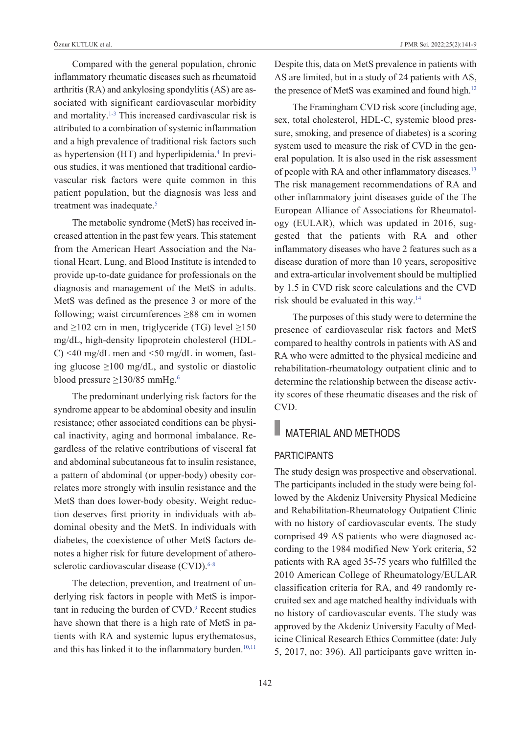Compared with the general population, chronic inflammatory rheumatic diseases such as rheumatoid arthritis (RA) and ankylosing spondylitis (AS) are associated with significant cardiovascular morbidity and mortality.<sup>1-3</sup> This increased cardivascular risk is attributed to a combination of systemic inflammation and a high prevalence of traditional risk factors such as hypertension (HT) and hyperlipidemia.<sup>4</sup> In previous studies, it was mentioned that traditional cardiovascular risk factors were quite common in this patient population, but the diagnosis was less and treatment was inadequate.<sup>5</sup>

The metabolic syndrome (MetS) has received increased attention in the past few years. This statement from the American Heart Association and the National Heart, Lung, and Blood Institute is intended to provide up-to-date guidance for professionals on the diagnosis and management of the MetS in adults. MetS was defined as the presence 3 or more of the following; waist circumferences ≥88 cm in women and  $\geq$ 102 cm in men, triglyceride (TG) level  $\geq$ 150 mg/dL, high-density lipoprotein cholesterol (HDL-C) <40 mg/dL men and <50 mg/dL in women, fasting glucose  $\geq 100$  mg/dL, and systolic or diastolic blood pressure ≥130/85 mmHg[.6](#page-8-0)

The predominant underlying risk factors for the syndrome appear to be abdominal obesity and insulin resistance; other associated conditions can be physical inactivity, aging and hormonal imbalance. Regardless of the relative contributions of visceral fat and abdominal subcutaneous fat to insulin resistance, a pattern of abdominal (or upper-body) obesity correlates more strongly with insulin resistance and the MetS than does lower-body obesity. Weight reduction deserves first priority in individuals with abdominal obesity and the MetS. In individuals with diabetes, the coexistence of other MetS factors denotes a higher risk for future development of atherosclerotic cardiovascular disease (CVD).<sup>6-8</sup>

The detection, prevention, and treatment of underlying risk factors in people with MetS is important in reducing the burden of CVD.<sup>9</sup> Recent studies have shown that there is a high rate of MetS in patients with RA and systemic lupus erythematosus, and this has linked it to the inflammatory burden.<sup>10,11</sup>

Despite this, data on MetS prevalence in patients with AS are limited, but in a study of 24 patients with AS, the presence of MetS was examined and found high.<sup>12</sup>

The Framingham CVD risk score (including age, sex, total cholesterol, HDL-C, systemic blood pressure, smoking, and presence of diabetes) is a scoring system used to measure the risk of CVD in the general population. It is also used in the risk assessment of people with RA and other inflammatory diseases.<sup>13</sup> The risk management recommendations of RA and other inflammatory joint diseases guide of the The European Alliance of Associations for Rheumatology (EULAR), which was updated in 2016, suggested that the patients with RA and other inflammatory diseases who have 2 features such as a disease duration of more than 10 years, seropositive and extra-articular involvement should be multiplied by 1.5 in CVD risk score calculations and the CVD risk should be evaluated in this way[.14](#page-8-0)

The purposes of this study were to determine the presence of cardiovascular risk factors and MetS compared to healthy controls in patients with AS and RA who were admitted to the physical medicine and rehabilitation-rheumatology outpatient clinic and to determine the relationship between the disease activity scores of these rheumatic diseases and the risk of CVD.

## **MATERIAL AND METHODS**

#### **PARTICIPANTS**

The study design was prospective and observational. The participants included in the study were being followed by the Akdeniz University Physical Medicine and Rehabilitation-Rheumatology Outpatient Clinic with no history of cardiovascular events. The study comprised 49 AS patients who were diagnosed according to the 1984 modified New York criteria, 52 patients with RA aged 35-75 years who fulfilled the 2010 American College of Rheumatology/EULAR classification criteria for RA, and 49 randomly recruited sex and age matched healthy individuals with no history of cardiovascular events. The study was approved by the Akdeniz University Faculty of Medicine Clinical Research Ethics Committee (date: July 5, 2017, no: 396). All participants gave written in-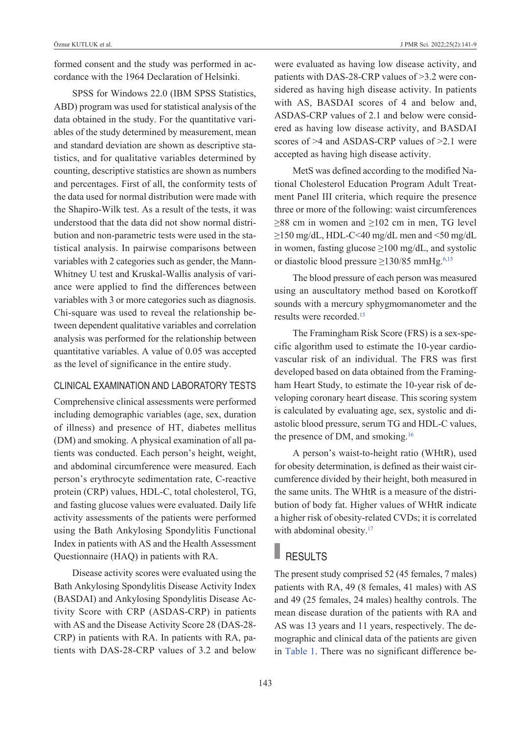formed consent and the study was performed in accordance with the 1964 Declaration of Helsinki.

SPSS for Windows 22.0 (IBM SPSS Statistics, ABD) program was used for statistical analysis of the data obtained in the study. For the quantitative variables of the study determined by measurement, mean and standard deviation are shown as descriptive statistics, and for qualitative variables determined by counting, descriptive statistics are shown as numbers and percentages. First of all, the conformity tests of the data used for normal distribution were made with the Shapiro-Wilk test. As a result of the tests, it was understood that the data did not show normal distribution and non-parametric tests were used in the statistical analysis. In pairwise comparisons between variables with 2 categories such as gender, the Mann-Whitney U test and Kruskal-Wallis analysis of variance were applied to find the differences between variables with 3 or more categories such as diagnosis. Chi-square was used to reveal the relationship between dependent qualitative variables and correlation analysis was performed for the relationship between quantitative variables. A value of 0.05 was accepted as the level of significance in the entire study.

#### clinical Examination and laboratory tEsts

Comprehensive clinical assessments were performed including demographic variables (age, sex, duration of illness) and presence of HT, diabetes mellitus (DM) and smoking. A physical examination of all patients was conducted. Each person's height, weight, and abdominal circumference were measured. Each person's erythrocyte sedimentation rate, C-reactive protein (CRP) values, HDL-C, total cholesterol, TG, and fasting glucose values were evaluated. Daily life activity assessments of the patients were performed using the Bath Ankylosing Spondylitis Functional Index in patients with AS and the Health Assessment Questionnaire (HAQ) in patients with RA.

Disease activity scores were evaluated using the Bath Ankylosing Spondylitis Disease Activity Index (BASDAI) and Ankylosing Spondylitis Disease Activity Score with CRP (ASDAS-CRP) in patients with AS and the Disease Activity Score 28 (DAS-28- CRP) in patients with RA. In patients with RA, patients with DAS-28-CRP values of 3.2 and below were evaluated as having low disease activity, and patients with DAS-28-CRP values of >3.2 were considered as having high disease activity. In patients with AS, BASDAI scores of 4 and below and, ASDAS-CRP values of 2.1 and below were considered as having low disease activity, and BASDAI scores of >4 and ASDAS-CRP values of >2.1 were accepted as having high disease activity.

MetS was defined according to the modified National Cholesterol Education Program Adult Treatment Panel III criteria, which require the presence three or more of the following: waist circumferences  $\geq$ 88 cm in women and  $\geq$ 102 cm in men, TG level ≥150 mg/dL, HDL-C<40 mg/dL men and <50 mg/dL in women, fasting glucose ≥100 mg/dL, and systolic or diastolic blood pressure  $\geq$ 130/85 mmHg.<sup>6,15</sup>

The blood pressure of each person was measured using an auscultatory method based on Korotkoff sounds with a mercury sphygmomanometer and the results were recorded[.15](#page-8-0) 

The Framingham Risk Score (FRS) is a sex-specific algorithm used to estimate the 10-year cardiovascular risk of an individual. The FRS was first developed based on data obtained from the Framingham Heart Study, to estimate the 10-year risk of developing coronary heart disease. This scoring system is calculated by evaluating age, sex, systolic and diastolic blood pressure, serum TG and HDL-C values, the presence of DM, and smoking[.16](#page-8-0)

A person's waist-to-height ratio (WHtR), used for obesity determination, is defined as their waist circumference divided by their height, both measured in the same units. The WHtR is a measure of the distribution of body fat. Higher values of WHtR indicate a higher risk of obesity-related CVDs; it is correlated with abdominal obesity.<sup>17</sup>

#### RESULTS

The present study comprised 52 (45 females, 7 males) patients with RA, 49 (8 females, 41 males) with AS and 49 (25 females, 24 males) healthy controls. The mean disease duration of the patients with RA and AS was 13 years and 11 years, respectively. The demographic and clinical data of the patients are given in [Table 1.](#page-8-0) There was no significant difference be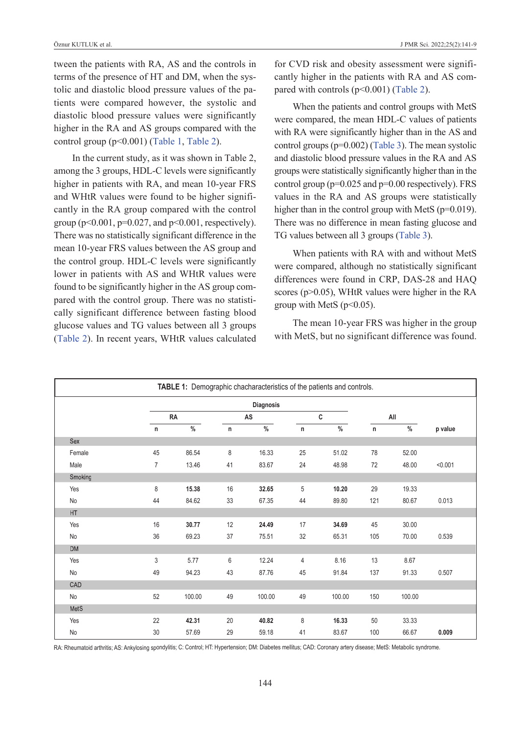tween the patients with RA, AS and the controls in terms of the presence of HT and DM, when the systolic and diastolic blood pressure values of the patients were compared however, the systolic and diastolic blood pressure values were significantly higher in the RA and AS groups compared with the control group (p<0.001) [\(Table 1, Table 2\)](#page-8-0).

In the current study, as it was shown in Table 2, among the 3 groups, HDL-C levels were significantly higher in patients with RA, and mean 10-year FRS and WHtR values were found to be higher significantly in the RA group compared with the control group ( $p \le 0.001$ ,  $p = 0.027$ , and  $p \le 0.001$ , respectively). There was no statistically significant difference in the mean 10-year FRS values between the AS group and the control group. HDL-C levels were significantly lower in patients with AS and WHtR values were found to be significantly higher in the AS group compared with the control group. There was no statistically significant difference between fasting blood glucose values and TG values between all 3 groups [\(Table 2\)](#page-8-0). In recent years, WHtR values calculated

for CVD risk and obesity assessment were significantly higher in the patients with RA and AS compared with controls  $(p<0.001)$  [\(Table 2\)](#page-8-0).

When the patients and control groups with MetS were compared, the mean HDL-C values of patients with RA were significantly higher than in the AS and control groups (p=0.002) [\(Table 3\)](#page-8-0). The mean systolic and diastolic blood pressure values in the RA and AS groups were statistically significantly higher than in the control group ( $p=0.025$  and  $p=0.00$  respectively). FRS values in the RA and AS groups were statistically higher than in the control group with MetS (p=0.019). There was no difference in mean fasting glucose and TG values between all 3 groups [\(Table 3\)](#page-4-0).

When patients with RA with and without MetS were compared, although no statistically significant differences were found in CRP, DAS-28 and HAQ scores (p>0.05), WHtR values were higher in the RA group with MetS ( $p<0.05$ ).

<span id="page-3-0"></span>The mean 10-year FRS was higher in the group with MetS, but no significant difference was found.

|           |                |        |    | TABLE 1: Demographic chacharacteristics of the patients and controls. |    |               |     |               |         |
|-----------|----------------|--------|----|-----------------------------------------------------------------------|----|---------------|-----|---------------|---------|
|           |                |        |    | Diagnosis                                                             |    |               |     |               |         |
|           |                | RA     |    | AS                                                                    |    | C             |     | All           |         |
|           | n              | $\%$   | n  | $\%$                                                                  | n  | $\frac{0}{0}$ | n   | $\frac{0}{0}$ | p value |
| Sex       |                |        |    |                                                                       |    |               |     |               |         |
| Female    | 45             | 86.54  | 8  | 16.33                                                                 | 25 | 51.02         | 78  | 52.00         |         |
| Male      | $\overline{7}$ | 13.46  | 41 | 83.67                                                                 | 24 | 48.98         | 72  | 48.00         | < 0.001 |
| Smoking   |                |        |    |                                                                       |    |               |     |               |         |
| Yes       | 8              | 15.38  | 16 | 32.65                                                                 | 5  | 10.20         | 29  | 19.33         |         |
| No        | 44             | 84.62  | 33 | 67.35                                                                 | 44 | 89.80         | 121 | 80.67         | 0.013   |
| HT        |                |        |    |                                                                       |    |               |     |               |         |
| Yes       | 16             | 30.77  | 12 | 24.49                                                                 | 17 | 34.69         | 45  | 30.00         |         |
| No        | 36             | 69.23  | 37 | 75.51                                                                 | 32 | 65.31         | 105 | 70.00         | 0.539   |
| DM        |                |        |    |                                                                       |    |               |     |               |         |
| Yes       | 3              | 5.77   | 6  | 12.24                                                                 | 4  | 8.16          | 13  | 8.67          |         |
| No        | 49             | 94.23  | 43 | 87.76                                                                 | 45 | 91.84         | 137 | 91.33         | 0.507   |
| CAD       |                |        |    |                                                                       |    |               |     |               |         |
| <b>No</b> | 52             | 100.00 | 49 | 100.00                                                                | 49 | 100.00        | 150 | 100.00        |         |
| MetS      |                |        |    |                                                                       |    |               |     |               |         |
| Yes       | 22             | 42.31  | 20 | 40.82                                                                 | 8  | 16.33         | 50  | 33.33         |         |
| No        | 30             | 57.69  | 29 | 59.18                                                                 | 41 | 83.67         | 100 | 66.67         | 0.009   |

RA: Rheumatoid arthritis; AS: Ankylosing spondylitis; C: Control; HT: Hypertension; DM: Diabetes mellitus; CAD: Coronary artery disease; MetS: Metabolic syndrome.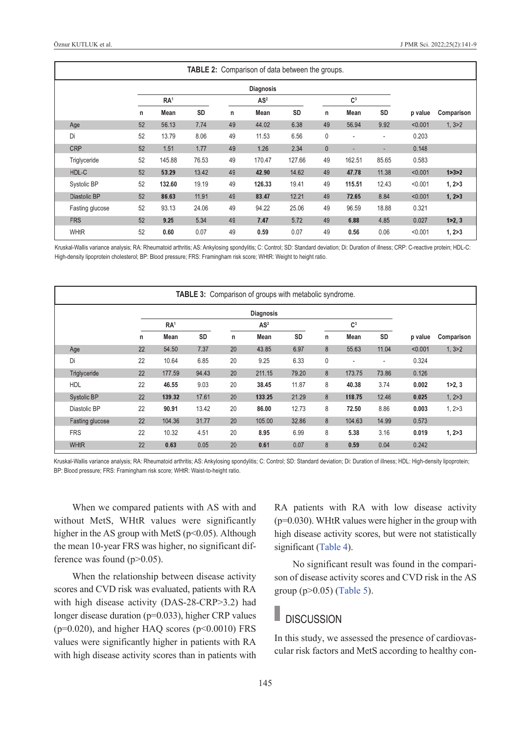|                 |    |                 |           |    | <b>TABLE 2:</b> Comparison of data between the groups. |           |              |                          |                          |         |            |
|-----------------|----|-----------------|-----------|----|--------------------------------------------------------|-----------|--------------|--------------------------|--------------------------|---------|------------|
|                 |    |                 |           |    | <b>Diagnosis</b>                                       |           |              |                          |                          |         |            |
|                 |    | RA <sup>1</sup> |           |    | AS <sup>2</sup>                                        |           |              | C <sup>3</sup>           |                          |         |            |
|                 | n  | Mean            | <b>SD</b> | n  | Mean                                                   | <b>SD</b> | n            | Mean                     | SD                       | p value | Comparison |
| Age             | 52 | 56.13           | 7.74      | 49 | 44.02                                                  | 6.38      | 49           | 56.94                    | 9.92                     | < 0.001 | 1, 3 > 2   |
| Di              | 52 | 13.79           | 8.06      | 49 | 11.53                                                  | 6.56      | 0            | ٠                        | $\overline{\phantom{a}}$ | 0.203   |            |
| <b>CRP</b>      | 52 | 1.51            | 1.77      | 49 | 1.26                                                   | 2.34      | $\mathbf{0}$ | $\overline{\phantom{a}}$ | ٠                        | 0.148   |            |
| Triglyceride    | 52 | 145.88          | 76.53     | 49 | 170.47                                                 | 127.66    | 49           | 162.51                   | 85.65                    | 0.583   |            |
| HDL-C           | 52 | 53.29           | 13.42     | 49 | 42.90                                                  | 14.62     | 49           | 47.78                    | 11.38                    | < 0.001 | 1 > 3 > 2  |
| Systolic BP     | 52 | 132.60          | 19.19     | 49 | 126.33                                                 | 19.41     | 49           | 115.51                   | 12.43                    | < 0.001 | 1, 2 > 3   |
| Diastolic BP    | 52 | 86.63           | 11.91     | 49 | 83.47                                                  | 12.21     | 49           | 72.65                    | 8.84                     | < 0.001 | 1, 2 > 3   |
| Fasting glucose | 52 | 93.13           | 24.06     | 49 | 94.22                                                  | 25.06     | 49           | 96.59                    | 18.88                    | 0.321   |            |
| <b>FRS</b>      | 52 | 9.25            | 5.34      | 49 | 7.47                                                   | 5.72      | 49           | 6.88                     | 4.85                     | 0.027   | 1 > 2, 3   |
| <b>WHtR</b>     | 52 | 0.60            | 0.07      | 49 | 0.59                                                   | 0.07      | 49           | 0.56                     | 0.06                     | < 0.001 | 1, 2 > 3   |

Kruskal-Wallis variance analysis; RA: Rheumatoid arthritis; AS: Ankylosing spondylitis; C: Control; SD: Standard deviation; Di: Duration of illness; CRP: C-reactive protein; HDL-C: High-density lipoprotein cholesterol; BP: Blood pressure; FRS: Framingham risk score; WHtR: Weight to height ratio.

|                 |              |                 |       |    | <b>TABLE 3:</b> Comparison of groups with metabolic syndrome. |       |             |                |       |         |            |
|-----------------|--------------|-----------------|-------|----|---------------------------------------------------------------|-------|-------------|----------------|-------|---------|------------|
|                 |              |                 |       |    | <b>Diagnosis</b>                                              |       |             |                |       |         |            |
|                 |              | RA <sup>1</sup> |       |    | AS <sup>2</sup>                                               |       |             | C <sup>3</sup> |       |         |            |
|                 | $\mathsf{n}$ | Mean            | SD    | n  | Mean                                                          | SD    | n           | <b>Mean</b>    | SD    | p value | Comparison |
| Age             | 22           | 54.50           | 7.37  | 20 | 43.85                                                         | 6.97  | 8           | 55.63          | 11.04 | < 0.001 | 1, 3 > 2   |
| Di              | 22           | 10.64           | 6.85  | 20 | 9.25                                                          | 6.33  | $\mathbf 0$ |                | ۰     | 0.324   |            |
| Triglyceride    | 22           | 177.59          | 94.43 | 20 | 211.15                                                        | 79.20 | 8           | 173.75         | 73.86 | 0.126   |            |
| <b>HDL</b>      | 22           | 46.55           | 9.03  | 20 | 38.45                                                         | 11.87 | 8           | 40.38          | 3.74  | 0.002   | 1 > 2, 3   |
| Systolic BP     | 22           | 139.32          | 17.61 | 20 | 133.25                                                        | 21.29 | 8           | 118.75         | 12.46 | 0.025   | 1, 2 > 3   |
| Diastolic BP    | 22           | 90.91           | 13.42 | 20 | 86.00                                                         | 12.73 | 8           | 72.50          | 8.86  | 0.003   | 1, 2 > 3   |
| Fasting glucose | 22           | 104.36          | 31.77 | 20 | 105.00                                                        | 32.86 | 8           | 104.63         | 14.99 | 0.573   |            |
| <b>FRS</b>      | 22           | 10.32           | 4.51  | 20 | 8.95                                                          | 6.99  | 8           | 5.38           | 3.16  | 0.019   | 1, 2 > 3   |
| <b>WHtR</b>     | 22           | 0.63            | 0.05  | 20 | 0.61                                                          | 0.07  | 8           | 0.59           | 0.04  | 0.242   |            |

Kruskal-Wallis variance analysis; RA: Rheumatoid arthritis; AS: Ankylosing spondylitis; C: Control; SD: Standard deviation; Di: Duration of illness; HDL: High-density lipoprotein; BP: Blood pressure; FRS: Framingham risk score; WHtR: Waist-to-height ratio.

When we compared patients with AS with and without MetS, WHtR values were significantly higher in the AS group with MetS ( $p$ <0.05). Although the mean 10-year FRS was higher, no significant difference was found  $(p>0.05)$ .

When the relationship between disease activity scores and CVD risk was evaluated, patients with RA with high disease activity (DAS-28-CRP>3.2) had longer disease duration (p=0.033), higher CRP values  $(p=0.020)$ , and higher HAQ scores  $(p<0.0010)$  FRS values were significantly higher in patients with RA with high disease activity scores than in patients with <span id="page-4-1"></span><span id="page-4-0"></span>RA patients with RA with low disease activity (p=0.030). WHtR values were higher in the group with high disease activity scores, but were not statistically significant [\(Table 4\)](#page-5-0).

No significant result was found in the comparison of disease activity scores and CVD risk in the AS group (p>0.05) [\(Table 5\)](#page-5-1).

## **DISCUSSION**

In this study, we assessed the presence of cardiovascular risk factors and MetS according to healthy con-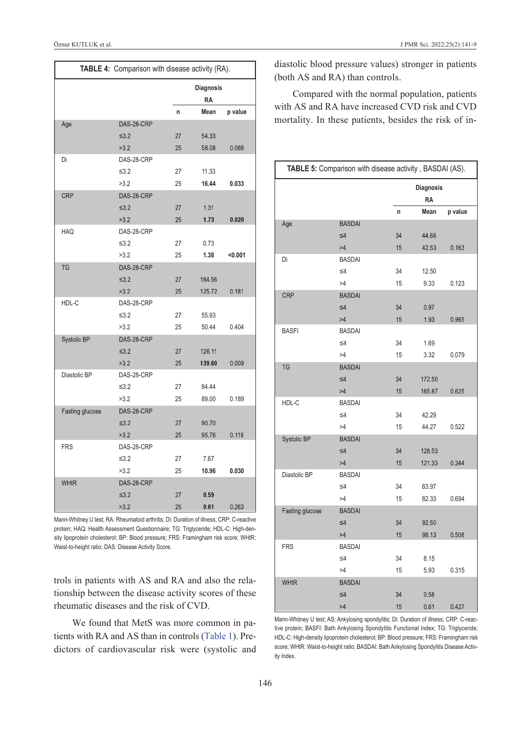| TABLE 4: Comparison with disease activity (RA). |            |    |                        |         |  |
|-------------------------------------------------|------------|----|------------------------|---------|--|
|                                                 |            |    | Diagnosis<br><b>RA</b> |         |  |
|                                                 |            | n  | Mean                   | p value |  |
| Age                                             | DAS-28-CRP |    |                        |         |  |
|                                                 | $\leq 3.2$ | 27 | 54.33                  |         |  |
|                                                 | >3.2       | 25 | 58.08                  | 0.088   |  |
| Di                                              | DAS-28-CRP |    |                        |         |  |
|                                                 | $≤3.2$     | 27 | 11.33                  |         |  |
|                                                 | >3.2       | 25 | 16.44                  | 0.033   |  |
| <b>CRP</b>                                      | DAS-28-CRP |    |                        |         |  |
|                                                 | $\leq 3.2$ | 27 | 1.31                   |         |  |
|                                                 | >3.2       | 25 | 1.73                   | 0.020   |  |
| <b>HAQ</b>                                      | DAS-28-CRP |    |                        |         |  |
|                                                 | $\leq 3.2$ | 27 | 0.73                   |         |  |
|                                                 | >3.2       | 25 | 1.38                   | < 0.001 |  |
| TG                                              | DAS-28-CRP |    |                        |         |  |
|                                                 | $≤3.2$     | 27 | 164.56                 |         |  |
|                                                 | >3.2       | 25 | 125.72                 | 0.181   |  |
| HDL-C                                           | DAS-28-CRP |    |                        |         |  |
|                                                 | $≤3.2$     | 27 | 55.93                  |         |  |
|                                                 | >3.2       | 25 | 50.44                  | 0.404   |  |
| Systolic BP                                     | DAS-28-CRP |    |                        |         |  |
|                                                 | $\leq 3.2$ | 27 | 126.11                 |         |  |
|                                                 | >3.2       | 25 | 139.60                 | 0.009   |  |
| Diastolic BP                                    | DAS-28-CRP |    |                        |         |  |
|                                                 | $≤3.2$     | 27 | 84.44                  |         |  |
|                                                 | >3.2       | 25 | 89.00                  | 0.189   |  |
| Fasting glucose                                 | DAS-28-CRP |    |                        |         |  |
|                                                 | $\leq 3.2$ | 27 | 90.70                  |         |  |
|                                                 | >3.2       | 25 | 95.76                  | 0.119   |  |
| <b>FRS</b>                                      | DAS-28-CRP |    |                        |         |  |
|                                                 | ≤ $3.2$    | 27 | 7.67                   |         |  |
|                                                 | >3.2       | 25 | 10.96                  | 0.030   |  |
| <b>WHtR</b>                                     | DAS-28-CRP |    |                        |         |  |
|                                                 | $≤3.2$     | 27 | 0.59                   |         |  |
|                                                 | >3.2       | 25 | 0.61                   | 0.263   |  |

Mann-Whitney U test; RA: Rheumatoid arthritis; Di: Duration of illness; CRP: C-reactive protein; HAQ: Health Assessment Questionnaire; TG: Triglyceride; HDL-C: High-density lipoprotein cholesterol; BP: Blood pressure; FRS: Framingham risk score; WHtR: Waist-to-height ratio; DAS: Disease Activity Score.

trols in patients with AS and RA and also the relationship between the disease activity scores of these rheumatic diseases and the risk of CVD.

We found that MetS was more common in patients with RA and AS than in controls (Table 1). Predictors of cardiovascular risk were (systolic and diastolic blood pressure values) stronger in patients (both AS and RA) than controls.

<span id="page-5-0"></span>Compared with the normal population, patients with AS and RA have increased CVD risk and CVD mortality. In these patients, besides the risk of in-

<span id="page-5-1"></span>

|                 | TABLE 5: Comparison with disease activity, BASDAI (AS). |    |                        |         |  |
|-----------------|---------------------------------------------------------|----|------------------------|---------|--|
|                 |                                                         |    | Diagnosis<br><b>RA</b> |         |  |
|                 |                                                         | n  | Mean                   | p value |  |
| Age             | <b>BASDAI</b>                                           |    |                        |         |  |
|                 | $\leq 4$                                                | 34 | 44.68                  |         |  |
|                 | >4                                                      | 15 | 42.53                  | 0.163   |  |
| Di              | <b>BASDAI</b>                                           |    |                        |         |  |
|                 | $\leq 4$                                                | 34 | 12.50                  |         |  |
|                 | >4                                                      | 15 | 9.33                   | 0.123   |  |
| <b>CRP</b>      | <b>BASDAI</b>                                           |    |                        |         |  |
|                 | $\leq 4$                                                | 34 | 0.97                   |         |  |
|                 | >4                                                      | 15 | 1.93                   | 0.965   |  |
| <b>BASFI</b>    | <b>BASDAI</b>                                           |    |                        |         |  |
|                 | $\leq 4$                                                | 34 | 1.69                   |         |  |
|                 | >4                                                      | 15 | 3.32                   | 0.079   |  |
| <b>TG</b>       | <b>BASDAI</b>                                           |    |                        |         |  |
|                 | $\leq 4$                                                | 34 | 172.50                 |         |  |
|                 | >4                                                      | 15 | 165.87                 | 0.625   |  |
| HDL-C           | <b>BASDAI</b>                                           |    |                        |         |  |
|                 | $\leq 4$                                                | 34 | 42.29                  |         |  |
|                 | >4                                                      | 15 | 44.27                  | 0.522   |  |
| Systolic BP     | <b>BASDAI</b>                                           |    |                        |         |  |
|                 | $\leq 4$                                                | 34 | 128.53                 |         |  |
|                 | >4                                                      | 15 | 121.33                 | 0.244   |  |
| Diastolic BP    | <b>BASDAI</b>                                           |    |                        |         |  |
|                 | $\leq 4$                                                | 34 | 83.97                  |         |  |
|                 | >4                                                      | 15 | 82.33                  | 0.694   |  |
| Fasting glucose | <b>BASDAI</b>                                           |    |                        |         |  |
|                 | $\leq 4$                                                | 34 | 92.50                  |         |  |
|                 | >4                                                      | 15 | 98.13                  | 0.508   |  |
| <b>FRS</b>      | <b>BASDAI</b>                                           |    |                        |         |  |
|                 | $\leq 4$                                                | 34 | 8.15                   |         |  |
|                 | >4                                                      | 15 | 5.93                   | 0.315   |  |
| <b>WHtR</b>     | <b>BASDAI</b>                                           |    |                        |         |  |
|                 | $\leq 4$                                                | 34 | 0.58                   |         |  |
|                 | >4                                                      | 15 | 0.61                   | 0.427   |  |

Mann-Whitney U test; AS: Ankylosing spondylitis; Di: Duration of illness; CRP: C-reactive protein; BASFI: Bath Ankylosing Spondylitis Functional Index; TG: Triglyceride; HDL-C: High-density lipoprotein cholesterol; BP: Blood pressure; FRS: Framingham risk score; WHtR: Waist-to-height ratio; BASDAI: Bath Ankylosing Spondylitis Disease Activity index.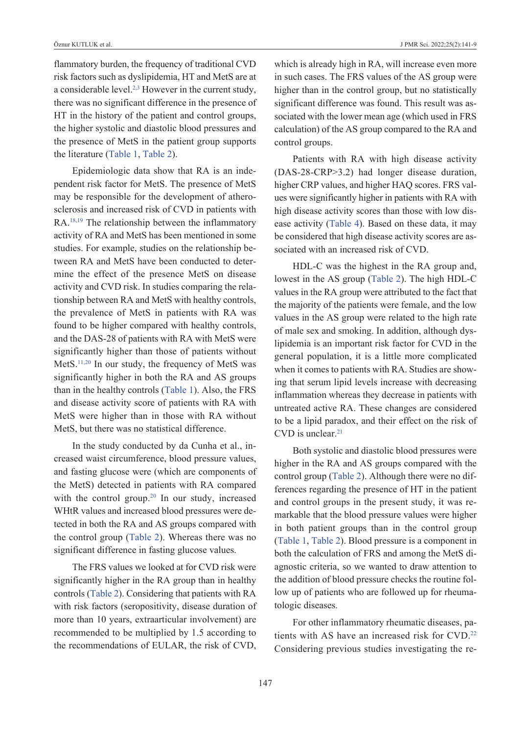flammatory burden, the frequency of traditional CVD risk factors such as dyslipidemia, HT and MetS are at a considerable level. $2,3$  However in the current study, there was no significant difference in the presence of HT in the history of the patient and control groups, the higher systolic and diastolic blood pressures and the presence of MetS in the patient group supports the literature [\(Table 1,](#page-3-0) [Table 2\)](#page-4-1).

Epidemiologic data show that RA is an independent risk factor for MetS. The presence of MetS may be responsible for the development of atherosclerosis and increased risk of CVD in patients with RA[.18,19](#page-8-0) The relationship between the inflammatory activity of RA and MetS has been mentioned in some studies. For example, studies on the relationship between RA and MetS have been conducted to determine the effect of the presence MetS on disease activity and CVD risk. In studies comparing the relationship between RA and MetS with healthy controls, the prevalence of MetS in patients with RA was found to be higher compared with healthy controls, and the DAS-28 of patients with RA with MetS were significantly higher than those of patients without MetS[.11,20](#page-8-0) In our study, the frequency of MetS was significantly higher in both the RA and AS groups than in the healthy controls [\(Table 1\)](#page-3-0). Also, the FRS and disease activity score of patients with RA with MetS were higher than in those with RA without MetS, but there was no statistical difference.

In the study conducted by da Cunha et al., increased waist circumference, blood pressure values, and fasting glucose were (which are components of the MetS) detected in patients with RA compared with the control group.<sup>20</sup> In our study, increased WHtR values and increased blood pressures were detected in both the RA and AS groups compared with the control group [\(Table 2\)](#page-4-1). Whereas there was no significant difference in fasting glucose values.

The FRS values we looked at for CVD risk were significantly higher in the RA group than in healthy controls [\(Table 2\)](#page-4-1). Considering that patients with RA with risk factors (seropositivity, disease duration of more than 10 years, extraarticular involvement) are recommended to be multiplied by 1.5 according to the recommendations of EULAR, the risk of CVD, which is already high in RA, will increase even more in such cases. The FRS values of the AS group were higher than in the control group, but no statistically significant difference was found. This result was associated with the lower mean age (which used in FRS calculation) of the AS group compared to the RA and control groups.

Patients with RA with high disease activity (DAS-28-CRP>3.2) had longer disease duration, higher CRP values, and higher HAQ scores. FRS values were significantly higher in patients with RA with high disease activity scores than those with low disease activity [\(Table 4\)](#page-5-0). Based on these data, it may be considered that high disease activity scores are associated with an increased risk of CVD.

HDL-C was the highest in the RA group and, lowest in the AS group [\(Table 2\)](#page-4-1). The high HDL-C values in the RA group were attributed to the fact that the majority of the patients were female, and the low values in the AS group were related to the high rate of male sex and smoking. In addition, although dyslipidemia is an important risk factor for CVD in the general population, it is a little more complicated when it comes to patients with RA. Studies are showing that serum lipid levels increase with decreasing inflammation whereas they decrease in patients with untreated active RA. These changes are considered to be a lipid paradox, and their effect on the risk of CVD is unclear.<sup>21</sup>

Both systolic and diastolic blood pressures were higher in the RA and AS groups compared with the control group [\(Table 2\)](#page-4-1). Although there were no differences regarding the presence of HT in the patient and control groups in the present study, it was remarkable that the blood pressure values were higher in both patient groups than in the control group [\(Table 1,](#page-3-0) [Table 2\)](#page-4-1). Blood pressure is a component in both the calculation of FRS and among the MetS diagnostic criteria, so we wanted to draw attention to the addition of blood pressure checks the routine follow up of patients who are followed up for rheumatologic diseases.

For other inflammatory rheumatic diseases, patients with AS have an increased risk for CVD.<sup>22</sup> Considering previous studies investigating the re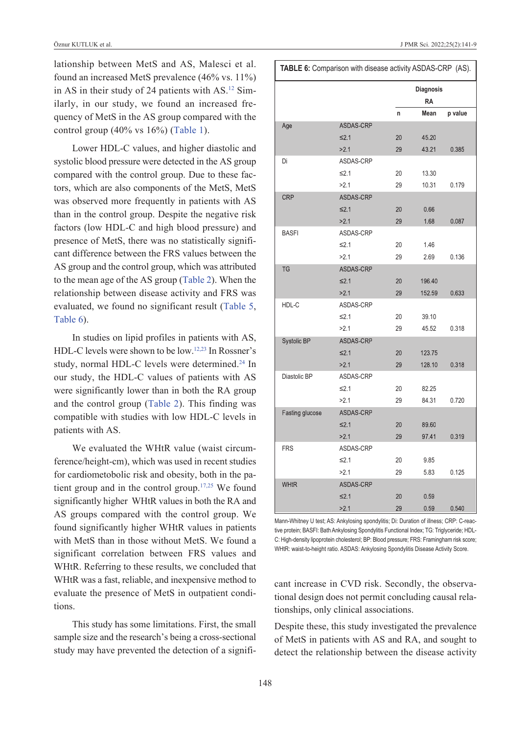lationship between MetS and AS, Malesci et al. found an increased MetS prevalence (46% vs. 11%) in AS in their study of 24 patients with AS.<sup>12</sup> Similarly, in our study, we found an increased frequency of MetS in the AS group compared with the control group (40% vs 16%) [\(Table 1\)](#page-3-0).

Lower HDL-C values, and higher diastolic and systolic blood pressure were detected in the AS group compared with the control group. Due to these factors, which are also components of the MetS, MetS was observed more frequently in patients with AS than in the control group. Despite the negative risk factors (low HDL-C and high blood pressure) and presence of MetS, there was no statistically significant difference between the FRS values between the AS group and the control group, which was attributed to the mean age of the AS group [\(Table 2\)](#page-4-1). When the relationship between disease activity and FRS was evaluated, we found no significant result [\(Table 5,](#page-5-1) [Table 6\)](#page-7-0).

In studies on lipid profiles in patients with AS, HDL-C levels were shown to be low[.12,23](#page-8-0) In Rossner's study, normal HDL-C levels were determined.<sup>24</sup> In our study, the HDL-C values of patients with AS were significantly lower than in both the RA group and the control group [\(Table 2\)](#page-4-1). This finding was compatible with studies with low HDL-C levels in patients with AS.

We evaluated the WHtR value (waist circumference/height-cm), which was used in recent studies for cardiometobolic risk and obesity, both in the patient group and in the control group[.17,25](#page-8-0) We found significantly higher WHtR values in both the RA and AS groups compared with the control group. We found significantly higher WHtR values in patients with MetS than in those without MetS. We found a significant correlation between FRS values and WHtR. Referring to these results, we concluded that WHtR was a fast, reliable, and inexpensive method to evaluate the presence of MetS in outpatient conditions.

This study has some limitations. First, the small sample size and the research's being a cross-sectional study may have prevented the detection of a signifi-

<span id="page-7-0"></span>

|                 |                  | <b>Diagnosis</b><br><b>RA</b> |        |         |  |  |
|-----------------|------------------|-------------------------------|--------|---------|--|--|
|                 |                  | n                             | Mean   | p value |  |  |
| Age             | ASDAS-CRP        |                               |        |         |  |  |
|                 | $\leq 2.1$       | 20                            | 45.20  |         |  |  |
|                 | >2.1             | 29                            | 43.21  | 0.385   |  |  |
| Di              | ASDAS-CRP        |                               |        |         |  |  |
|                 | $\leq 2.1$       | 20                            | 13.30  |         |  |  |
|                 | >2.1             | 29                            | 10.31  | 0.179   |  |  |
| CRP             | ASDAS-CRP        |                               |        |         |  |  |
|                 | $\leq 2.1$       | 20                            | 0.66   |         |  |  |
|                 | >2.1             | 29                            | 1.68   | 0.087   |  |  |
| <b>BASFI</b>    | ASDAS-CRP        |                               |        |         |  |  |
|                 | $\leq 2.1$       | 20                            | 1.46   |         |  |  |
|                 | >2.1             | 29                            | 2.69   | 0.136   |  |  |
| <b>TG</b>       | <b>ASDAS-CRP</b> |                               |        |         |  |  |
|                 | $\leq 2.1$       | 20                            | 196.40 |         |  |  |
|                 | >2.1             | 29                            | 152.59 | 0.633   |  |  |
| HDL-C           | ASDAS-CRP        |                               |        |         |  |  |
|                 | $\leq 2.1$       | 20                            | 39.10  |         |  |  |
|                 | >2.1             | 29                            | 45.52  | 0.318   |  |  |
| Systolic BP     | ASDAS-CRP        |                               |        |         |  |  |
|                 | $\leq 2.1$       | 20                            | 123.75 |         |  |  |
|                 | >2.1             | 29                            | 128.10 | 0.318   |  |  |
| Diastolic BP    | ASDAS-CRP        |                               |        |         |  |  |
|                 | ≤2.1             | 20                            | 82.25  |         |  |  |
|                 | >2.1             | 29                            | 84.31  | 0.720   |  |  |
| Fasting glucose | ASDAS-CRP        |                               |        |         |  |  |
|                 | $\leq 2.1$       | 20                            | 89.60  |         |  |  |
|                 | >2.1             | 29                            | 97.41  | 0.319   |  |  |
| <b>FRS</b>      | ASDAS-CRP        |                               |        |         |  |  |
|                 | ≤2.1             | 20                            | 9.85   |         |  |  |
|                 | >2.1             | 29                            | 5.83   | 0.125   |  |  |
| <b>WHtR</b>     | ASDAS-CRP        |                               |        |         |  |  |
|                 | $\leq 2.1$       | 20                            | 0.59   |         |  |  |
|                 | >2.1             | 29                            | 0.59   | 0.540   |  |  |

Mann-Whitney U test; AS: Ankylosing spondylitis; Di: Duration of illness; CRP: C-reactive protein; BASFI: Bath Ankylosing Spondylitis Functional Index; TG: Triglyceride; HDL-C: High-density lipoprotein cholesterol; BP: Blood pressure; FRS: Framingham risk score; WHtR: waist-to-height ratio. ASDAS: Ankylosing Spondylitis Disease Activity Score.

cant increase in CVD risk. Secondly, the observational design does not permit concluding causal relationships, only clinical associations.

Despite these, this study investigated the prevalence of MetS in patients with AS and RA, and sought to detect the relationship between the disease activity